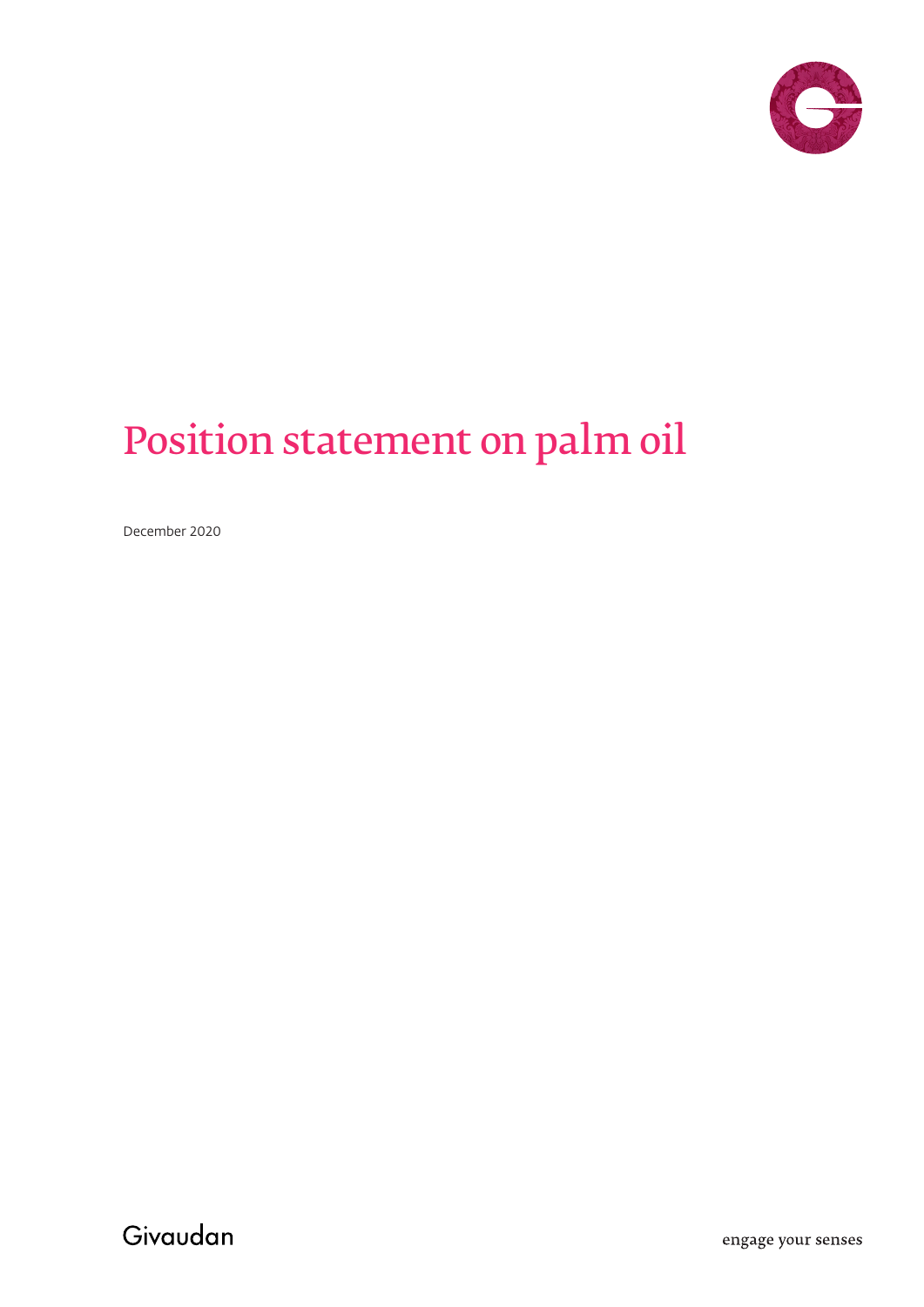

# Position statement on palm oil

December 2020

Givaudan

engage your senses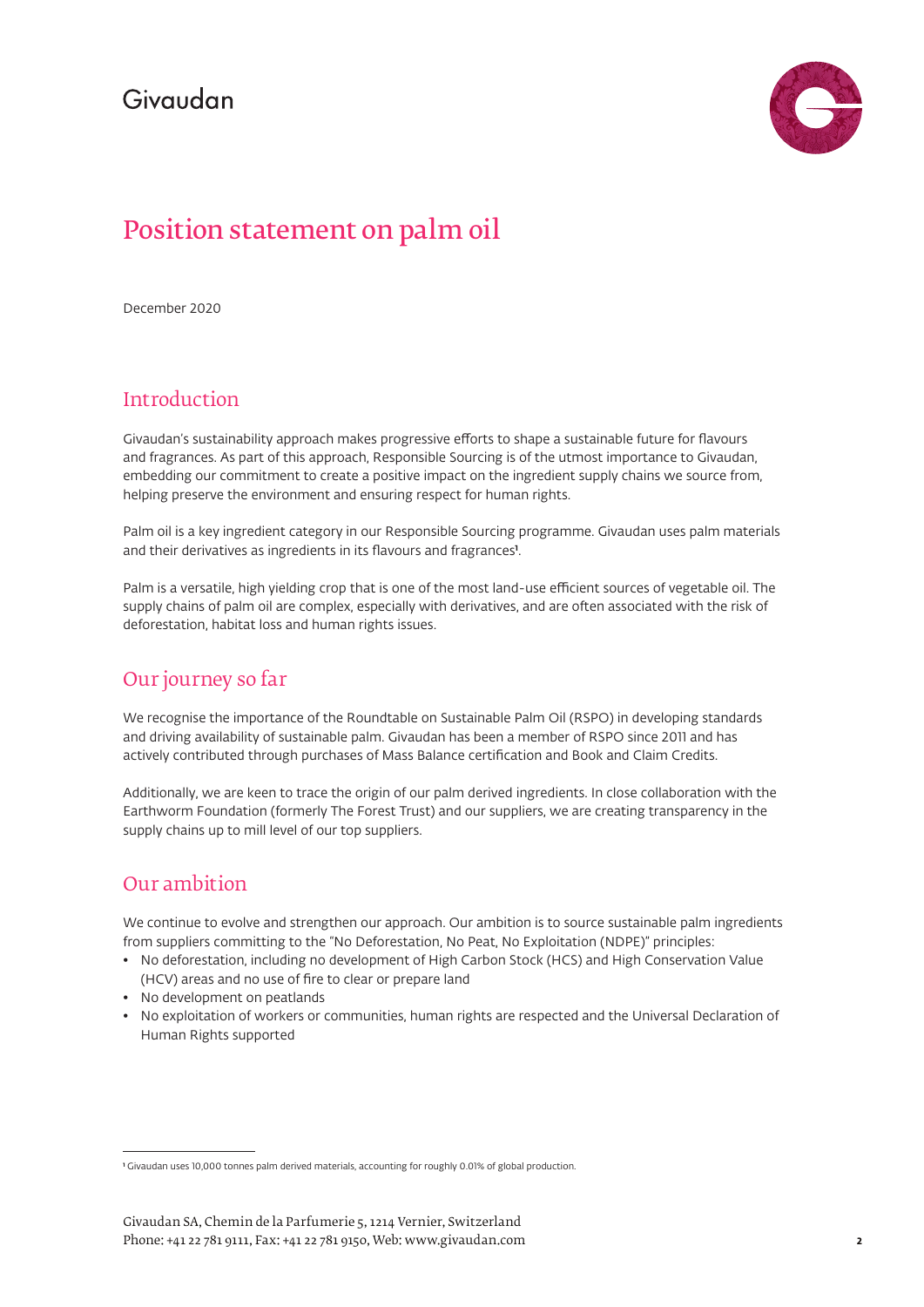## Givaudan



# Position statement on palm oil

December 2020

## Introduction

Givaudan's sustainability approach makes progressive efforts to shape a sustainable future for flavours and fragrances. As part of this approach, Responsible Sourcing is of the utmost importance to Givaudan, embedding our commitment to create a positive impact on the ingredient supply chains we source from, helping preserve the environment and ensuring respect for human rights.

Palm oil is a key ingredient category in our Responsible Sourcing programme. Givaudan uses palm materials and their derivatives as ingredients in its flavours and fragrances**<sup>1</sup>** .

Palm is a versatile, high yielding crop that is one of the most land-use efficient sources of vegetable oil. The supply chains of palm oil are complex, especially with derivatives, and are often associated with the risk of deforestation, habitat loss and human rights issues.

## Our journey so far

We recognise the importance of the Roundtable on Sustainable Palm Oil (RSPO) in developing standards and driving availability of sustainable palm. Givaudan has been a member of RSPO since 2011 and has actively contributed through purchases of Mass Balance certification and Book and Claim Credits.

Additionally, we are keen to trace the origin of our palm derived ingredients. In close collaboration with the Earthworm Foundation (formerly The Forest Trust) and our suppliers, we are creating transparency in the supply chains up to mill level of our top suppliers.

## Our ambition

We continue to evolve and strengthen our approach. Our ambition is to source sustainable palm ingredients from suppliers committing to the "No Deforestation, No Peat, No Exploitation (NDPE)" principles:

- No deforestation, including no development of High Carbon Stock (HCS) and High Conservation Value (HCV) areas and no use of fire to clear or prepare land
- No development on peatlands
- No exploitation of workers or communities, human rights are respected and the Universal Declaration of Human Rights supported

**<sup>1</sup>** Givaudan uses 10,000 tonnes palm derived materials, accounting for roughly 0.01% of global production.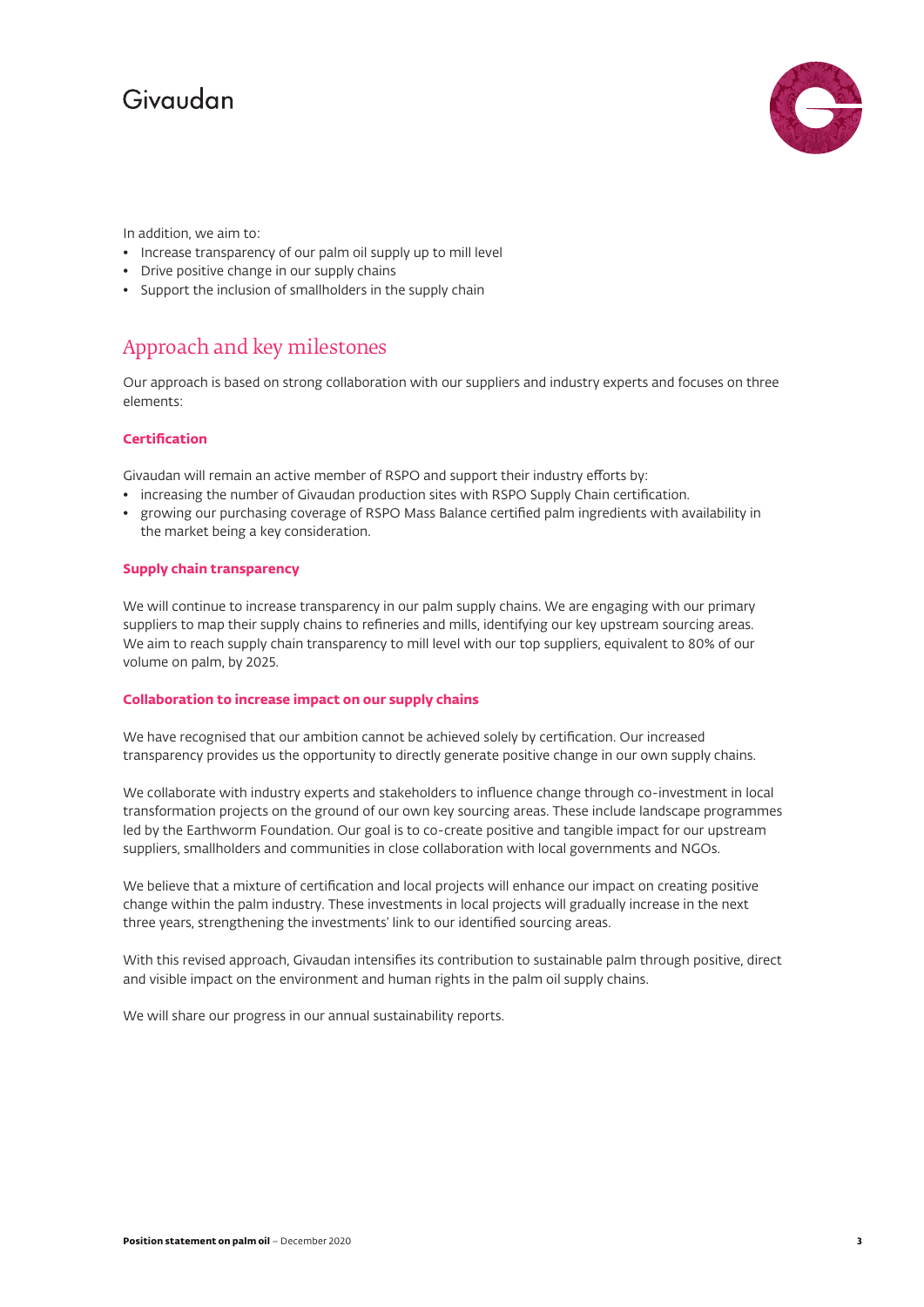## Givaudan



In addition, we aim to:

- Increase transparency of our palm oil supply up to mill level
- Drive positive change in our supply chains
- Support the inclusion of smallholders in the supply chain

### Approach and key milestones

Our approach is based on strong collaboration with our suppliers and industry experts and focuses on three elements:

#### **Certification**

Givaudan will remain an active member of RSPO and support their industry efforts by:

- increasing the number of Givaudan production sites with RSPO Supply Chain certification.
- growing our purchasing coverage of RSPO Mass Balance certified palm ingredients with availability in the market being a key consideration.

#### **Supply chain transparency**

We will continue to increase transparency in our palm supply chains. We are engaging with our primary suppliers to map their supply chains to refineries and mills, identifying our key upstream sourcing areas. We aim to reach supply chain transparency to mill level with our top suppliers, equivalent to 80% of our volume on palm, by 2025.

#### **Collaboration to increase impact on our supply chains**

We have recognised that our ambition cannot be achieved solely by certification. Our increased transparency provides us the opportunity to directly generate positive change in our own supply chains.

We collaborate with industry experts and stakeholders to influence change through co-investment in local transformation projects on the ground of our own key sourcing areas. These include landscape programmes led by the Earthworm Foundation. Our goal is to co-create positive and tangible impact for our upstream suppliers, smallholders and communities in close collaboration with local governments and NGOs.

We believe that a mixture of certification and local projects will enhance our impact on creating positive change within the palm industry. These investments in local projects will gradually increase in the next three years, strengthening the investments' link to our identified sourcing areas.

With this revised approach, Givaudan intensifies its contribution to sustainable palm through positive, direct and visible impact on the environment and human rights in the palm oil supply chains.

We will share our progress in our annual sustainability reports.